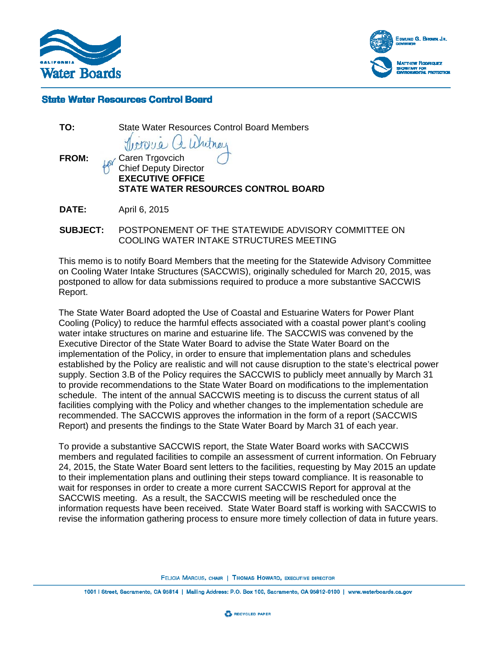



## **State Water Resources Control Board**

**TO:** State Water Resources Control Board Members

FROM: **Caren Trgovcich** Chief Deputy Director **EXECUTIVE OFFICE STATE WATER RESOURCES CONTROL BOARD** 

**DATE:** April 6, 2015

**SUBJECT:** POSTPONEMENT OF THE STATEWIDE ADVISORY COMMITTEE ON COOLING WATER INTAKE STRUCTURES MEETING

This memo is to notify Board Members that the meeting for the Statewide Advisory Committee on Cooling Water Intake Structures (SACCWIS), originally scheduled for March 20, 2015, was postponed to allow for data submissions required to produce a more substantive SACCWIS Report.

The State Water Board adopted the Use of Coastal and Estuarine Waters for Power Plant Cooling (Policy) to reduce the harmful effects associated with a coastal power plant's cooling water intake structures on marine and estuarine life. The SACCWIS was convened by the Executive Director of the State Water Board to advise the State Water Board on the implementation of the Policy, in order to ensure that implementation plans and schedules established by the Policy are realistic and will not cause disruption to the state's electrical power supply. Section 3.B of the Policy requires the SACCWIS to publicly meet annually by March 31 to provide recommendations to the State Water Board on modifications to the implementation schedule. The intent of the annual SACCWIS meeting is to discuss the current status of all facilities complying with the Policy and whether changes to the implementation schedule are recommended. The SACCWIS approves the information in the form of a report (SACCWIS Report) and presents the findings to the State Water Board by March 31 of each year.

To provide a substantive SACCWIS report, the State Water Board works with SACCWIS members and regulated facilities to compile an assessment of current information. On February 24, 2015, the State Water Board sent letters to the facilities, requesting by May 2015 an update to their implementation plans and outlining their steps toward compliance. It is reasonable to wait for responses in order to create a more current SACCWIS Report for approval at the SACCWIS meeting. As a result, the SACCWIS meeting will be rescheduled once the information requests have been received. State Water Board staff is working with SACCWIS to revise the information gathering process to ensure more timely collection of data in future years.

FELICIA MARCUS, CHAIR | THOMAS HOWARD, EXECUTIVE DIRECTOR